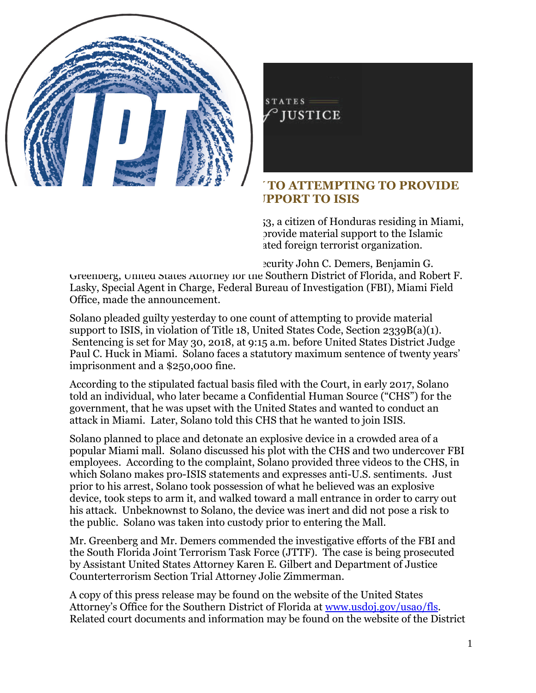

## FOR IMMEDIATE RELEASE THURSDAY, MARCH 15, 2018

## **INDIVIDUAL PLEADS GUILTY TO ATTEMPTING TO PROVIDE MATERIAL SUPPORT TO ISIS**

WASHINGTON - Vicente Adolfo Solano, 53, a citizen of Honduras residing in Miami, pleaded guilty yesterday to attempting to provide material support to the Islamic State of Iraq and al-Sham (ISIS), a designated foreign terrorist organization.

Assistant Attorney General for National Security John C. Demers, Benjamin G. Greenberg, United States Attorney for the Southern District of Florida, and Robert F. Lasky, Special Agent in Charge, Federal Bureau of Investigation (FBI), Miami Field Office, made the announcement.

Solano pleaded guilty yesterday to one count of attempting to provide material support to ISIS, in violation of Title 18, United States Code, Section 2339B(a)(1). Sentencing is set for May 30, 2018, at 9:15 a.m. before United States District Judge Paul C. Huck in Miami. Solano faces a statutory maximum sentence of twenty years' imprisonment and a \$250,000 fine.

According to the stipulated factual basis filed with the Court, in early 2017, Solano told an individual, who later became a Confidential Human Source ("CHS") for the government, that he was upset with the United States and wanted to conduct an attack in Miami. Later, Solano told this CHS that he wanted to join ISIS.

Solano planned to place and detonate an explosive device in a crowded area of a popular Miami mall. Solano discussed his plot with the CHS and two undercover FBI employees. According to the complaint, Solano provided three videos to the CHS, in which Solano makes pro-ISIS statements and expresses anti-U.S. sentiments. Just prior to his arrest, Solano took possession of what he believed was an explosive device, took steps to arm it, and walked toward a mall entrance in order to carry out his attack. Unbeknownst to Solano, the device was inert and did not pose a risk to the public. Solano was taken into custody prior to entering the Mall.

Mr. Greenberg and Mr. Demers commended the investigative efforts of the FBI and the South Florida Joint Terrorism Task Force (JTTF). The case is being prosecuted by Assistant United States Attorney Karen E. Gilbert and Department of Justice Counterterrorism Section Trial Attorney Jolie Zimmerman.

A copy of this press release may be found on the website of the United States Attorney's Office for the Southern District of Florida at [www.usdoj.gov/usao/fls.](http://links.govdelivery.com/track?type=click&enid=ZWFzPTEmbWFpbGluZ2lkPTIwMTgwMzE1Ljg3MDE5NDkxJm1lc3NhZ2VpZD1NREItUFJELUJVTC0yMDE4MDMxNS44NzAxOTQ5MSZkYXRhYmFzZWlkPTEwMDEmc2VyaWFsPTE3MzA0MDYwJmVtYWlsaWQ9YWJoYUBjdG5ld3Mub3JnJnVzZXJpZD1hYmhhQGN0bmV3cy5vcmcmZmw9JmV4dHJhPU11bHRpdmFyaWF0ZUlkPSYmJg==&&&101&&&http://www.usdoj.gov/usao/fls?utm_medium=email&utm_source=govdelivery) Related court documents and information may be found on the website of the District